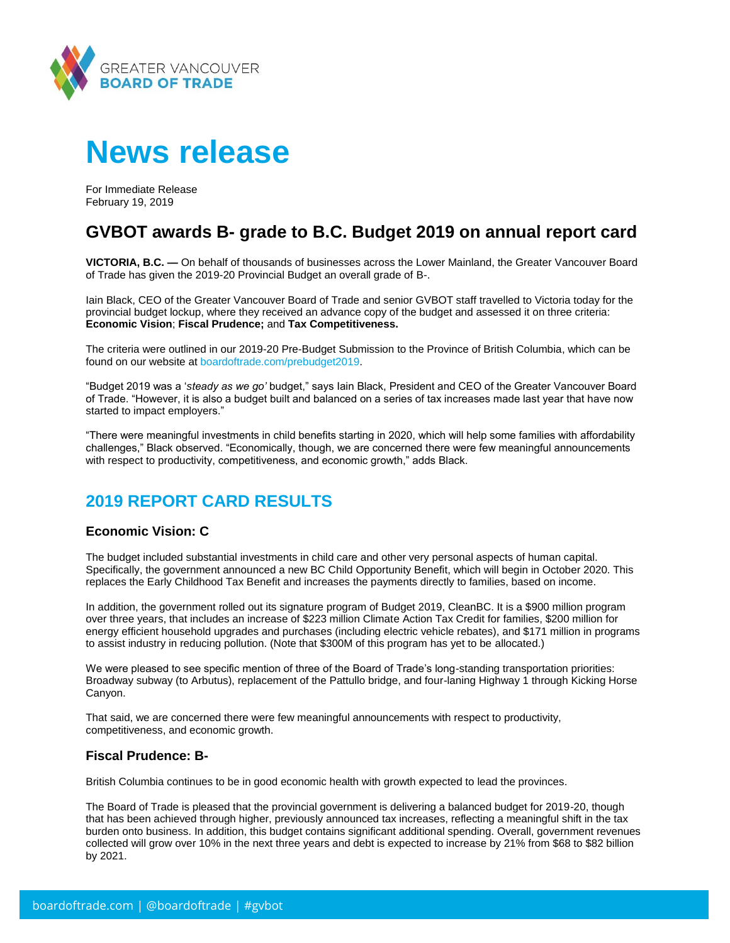

# **News release**

For Immediate Release February 19, 2019

# **GVBOT awards B- grade to B.C. Budget 2019 on annual report card**

**VICTORIA, B.C. —** On behalf of thousands of businesses across the Lower Mainland, the Greater Vancouver Board of Trade has given the 2019-20 Provincial Budget an overall grade of B-.

Iain Black, CEO of the Greater Vancouver Board of Trade and senior GVBOT staff travelled to Victoria today for the provincial budget lockup, where they received an advance copy of the budget and assessed it on three criteria: **Economic Vision**; **Fiscal Prudence;** and **Tax Competitiveness.**

The criteria were outlined in our 2019-20 Pre-Budget Submission to the Province of British Columbia, which can be found on our website at [boardoftrade.com/prebudget2019.](https://www.boardoftrade.com/files/advocacy/2019-bc-budget/gvbot-bc-budget-submission-2019.pdf)

"Budget 2019 was a '*steady as we go'* budget," says Iain Black, President and CEO of the Greater Vancouver Board of Trade. "However, it is also a budget built and balanced on a series of tax increases made last year that have now started to impact employers."

"There were meaningful investments in child benefits starting in 2020, which will help some families with affordability challenges," Black observed. "Economically, though, we are concerned there were few meaningful announcements with respect to productivity, competitiveness, and economic growth," adds Black.

# **2019 REPORT CARD RESULTS**

## **Economic Vision: C**

The budget included substantial investments in child care and other very personal aspects of human capital. Specifically, the government announced a new BC Child Opportunity Benefit, which will begin in October 2020. This replaces the Early Childhood Tax Benefit and increases the payments directly to families, based on income.

In addition, the government rolled out its signature program of Budget 2019, CleanBC. It is a \$900 million program over three years, that includes an increase of \$223 million Climate Action Tax Credit for families, \$200 million for energy efficient household upgrades and purchases (including electric vehicle rebates), and \$171 million in programs to assist industry in reducing pollution. (Note that \$300M of this program has yet to be allocated.)

We were pleased to see specific mention of three of the Board of Trade's long-standing transportation priorities: Broadway subway (to Arbutus), replacement of the Pattullo bridge, and four-laning Highway 1 through Kicking Horse Canyon.

That said, we are concerned there were few meaningful announcements with respect to productivity, competitiveness, and economic growth.

## **Fiscal Prudence: B-**

British Columbia continues to be in good economic health with growth expected to lead the provinces.

The Board of Trade is pleased that the provincial government is delivering a balanced budget for 2019-20, though that has been achieved through higher, previously announced tax increases, reflecting a meaningful shift in the tax burden onto business. In addition, this budget contains significant additional spending. Overall, government revenues collected will grow over 10% in the next three years and debt is expected to increase by 21% from \$68 to \$82 billion by 2021.